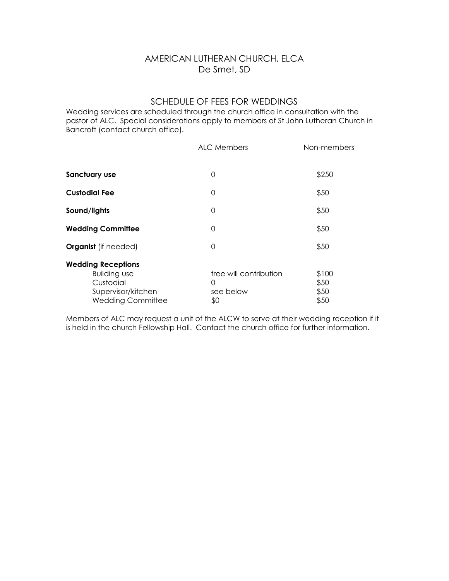## AMERICAN LUTHERAN CHURCH, ELCA De Smet, SD

## SCHEDULE OF FEES FOR WEDDINGS

Wedding services are scheduled through the church office in consultation with the pastor of ALC. Special considerations apply to members of St John Lutheran Church in Bancroft (contact church office).

|                                                                                                                 | ALC Members                                     | Non-members                   |
|-----------------------------------------------------------------------------------------------------------------|-------------------------------------------------|-------------------------------|
| Sanctuary use                                                                                                   | 0                                               | \$250                         |
| <b>Custodial Fee</b>                                                                                            | 0                                               | \$50                          |
| Sound/lights                                                                                                    | 0                                               | \$50                          |
| <b>Wedding Committee</b>                                                                                        | 0                                               | \$50                          |
| <b>Organist</b> (if needed)                                                                                     | 0                                               | \$50                          |
| <b>Wedding Receptions</b><br><b>Building use</b><br>Custodial<br>Supervisor/kitchen<br><b>Wedding Committee</b> | free will contribution<br>0<br>see below<br>\$0 | \$100<br>\$50<br>\$50<br>\$50 |

Members of ALC may request a unit of the ALCW to serve at their wedding reception if it is held in the church Fellowship Hall. Contact the church office for further information.